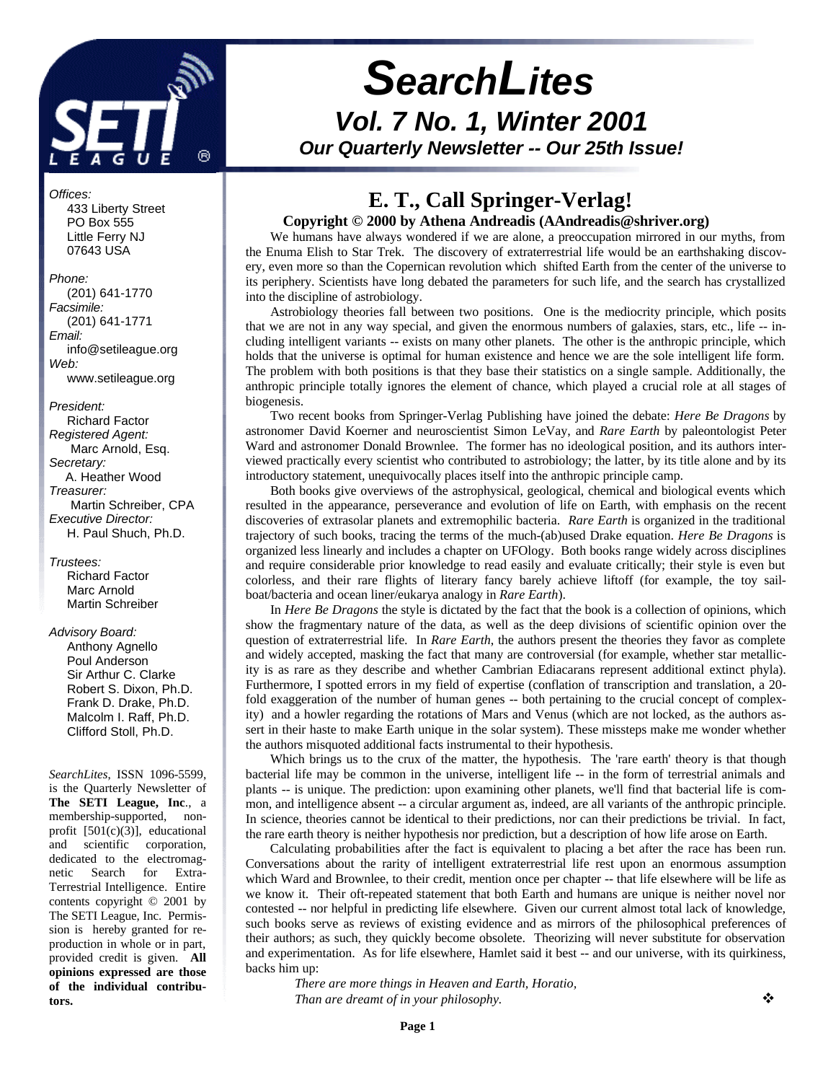

# *SearchLites Vol. 7 No. 1, Winter 2001 Our Quarterly Newsletter -- Our 25th Issue!*

#### *Offices:*

 433 Liberty Street PO Box 555 Little Ferry NJ 07643 USA

*Phone:* (201) 641-1770 *Facsimile:* (201) 641-1771 *Email:* info@setileague.org *Web:* www.setileague.org

*President:* Richard Factor *Registered Agent:*  Marc Arnold, Esq. *Secretary:* A. Heather Wood *Treasurer:*  Martin Schreiber, CPA *Executive Director:*

H. Paul Shuch, Ph.D.

*Trustees:* Richard Factor Marc Arnold Martin Schreiber

#### *Advisory Board:*

 Anthony Agnello Poul Anderson Sir Arthur C. Clarke Robert S. Dixon, Ph.D. Frank D. Drake, Ph.D. Malcolm I. Raff, Ph.D. Clifford Stoll, Ph.D.

*SearchLites*, ISSN 1096-5599, is the Quarterly Newsletter of **The SETI League, Inc**., a membership-supported, nonprofit [501(c)(3)], educational and scientific corporation, dedicated to the electromagnetic Search for Extra-Terrestrial Intelligence. Entire contents copyright © 2001 by The SETI League, Inc. Permission is hereby granted for reproduction in whole or in part, provided credit is given. **All opinions expressed are those of the individual contributors.**

# **E. T., Call Springer-Verlag!**

#### **Copyright © 2000 by Athena Andreadis (AAndreadis@shriver.org)**

We humans have always wondered if we are alone, a preoccupation mirrored in our myths, from the Enuma Elish to Star Trek. The discovery of extraterrestrial life would be an earthshaking discovery, even more so than the Copernican revolution which shifted Earth from the center of the universe to its periphery. Scientists have long debated the parameters for such life, and the search has crystallized into the discipline of astrobiology.

Astrobiology theories fall between two positions. One is the mediocrity principle, which posits that we are not in any way special, and given the enormous numbers of galaxies, stars, etc., life -- including intelligent variants -- exists on many other planets. The other is the anthropic principle, which holds that the universe is optimal for human existence and hence we are the sole intelligent life form. The problem with both positions is that they base their statistics on a single sample. Additionally, the anthropic principle totally ignores the element of chance, which played a crucial role at all stages of biogenesis.

Two recent books from Springer-Verlag Publishing have joined the debate: *Here Be Dragons* by astronomer David Koerner and neuroscientist Simon LeVay, and *Rare Earth* by paleontologist Peter Ward and astronomer Donald Brownlee. The former has no ideological position, and its authors interviewed practically every scientist who contributed to astrobiology; the latter, by its title alone and by its introductory statement, unequivocally places itself into the anthropic principle camp.

Both books give overviews of the astrophysical, geological, chemical and biological events which resulted in the appearance, perseverance and evolution of life on Earth, with emphasis on the recent discoveries of extrasolar planets and extremophilic bacteria. *Rare Earth* is organized in the traditional trajectory of such books, tracing the terms of the much-(ab)used Drake equation. *Here Be Dragons* is organized less linearly and includes a chapter on UFOlogy. Both books range widely across disciplines and require considerable prior knowledge to read easily and evaluate critically; their style is even but colorless, and their rare flights of literary fancy barely achieve liftoff (for example, the toy sailboat/bacteria and ocean liner/eukarya analogy in *Rare Earth*).

In *Here Be Dragons* the style is dictated by the fact that the book is a collection of opinions, which show the fragmentary nature of the data, as well as the deep divisions of scientific opinion over the question of extraterrestrial life. In *Rare Earth*, the authors present the theories they favor as complete and widely accepted, masking the fact that many are controversial (for example, whether star metallicity is as rare as they describe and whether Cambrian Ediacarans represent additional extinct phyla). Furthermore, I spotted errors in my field of expertise (conflation of transcription and translation, a 20 fold exaggeration of the number of human genes -- both pertaining to the crucial concept of complexity) and a howler regarding the rotations of Mars and Venus (which are not locked, as the authors assert in their haste to make Earth unique in the solar system). These missteps make me wonder whether the authors misquoted additional facts instrumental to their hypothesis.

Which brings us to the crux of the matter, the hypothesis. The 'rare earth' theory is that though bacterial life may be common in the universe, intelligent life -- in the form of terrestrial animals and plants -- is unique. The prediction: upon examining other planets, we'll find that bacterial life is common, and intelligence absent -- a circular argument as, indeed, are all variants of the anthropic principle. In science, theories cannot be identical to their predictions, nor can their predictions be trivial. In fact, the rare earth theory is neither hypothesis nor prediction, but a description of how life arose on Earth.

Calculating probabilities after the fact is equivalent to placing a bet after the race has been run. Conversations about the rarity of intelligent extraterrestrial life rest upon an enormous assumption which Ward and Brownlee, to their credit, mention once per chapter -- that life elsewhere will be life as we know it. Their oft-repeated statement that both Earth and humans are unique is neither novel nor contested -- nor helpful in predicting life elsewhere. Given our current almost total lack of knowledge, such books serve as reviews of existing evidence and as mirrors of the philosophical preferences of their authors; as such, they quickly become obsolete. Theorizing will never substitute for observation and experimentation. As for life elsewhere, Hamlet said it best -- and our universe, with its quirkiness, backs him up:

*There are more things in Heaven and Earth, Horatio, Than are dreamt of in your philosophy.*  $\bullet \bullet$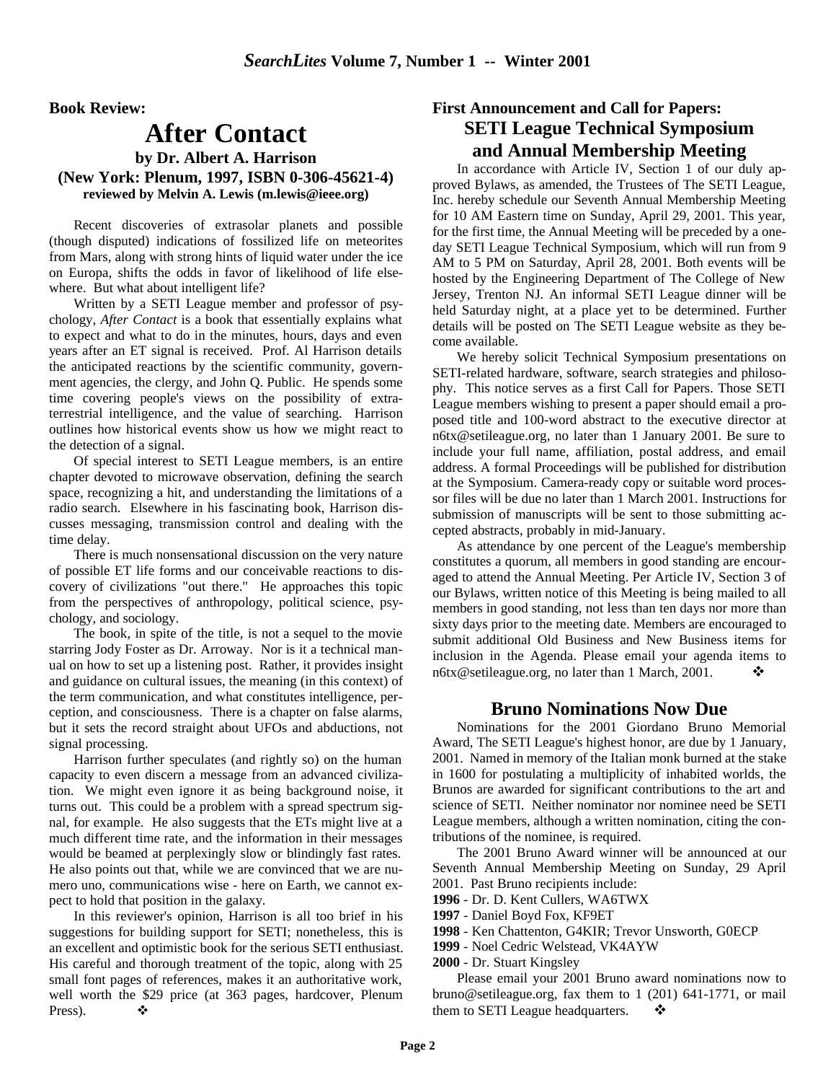**Book Review:**

## **After Contact**

#### **by Dr. Albert A. Harrison (New York: Plenum, 1997, ISBN 0-306-45621-4) reviewed by Melvin A. Lewis (m.lewis@ieee.org)**

Recent discoveries of extrasolar planets and possible (though disputed) indications of fossilized life on meteorites from Mars, along with strong hints of liquid water under the ice on Europa, shifts the odds in favor of likelihood of life elsewhere. But what about intelligent life?

Written by a SETI League member and professor of psychology, *After Contact* is a book that essentially explains what to expect and what to do in the minutes, hours, days and even years after an ET signal is received. Prof. Al Harrison details the anticipated reactions by the scientific community, government agencies, the clergy, and John Q. Public. He spends some time covering people's views on the possibility of extraterrestrial intelligence, and the value of searching. Harrison outlines how historical events show us how we might react to the detection of a signal.

Of special interest to SETI League members, is an entire chapter devoted to microwave observation, defining the search space, recognizing a hit, and understanding the limitations of a radio search. Elsewhere in his fascinating book, Harrison discusses messaging, transmission control and dealing with the time delay.

There is much nonsensational discussion on the very nature of possible ET life forms and our conceivable reactions to discovery of civilizations "out there." He approaches this topic from the perspectives of anthropology, political science, psychology, and sociology.

The book, in spite of the title, is not a sequel to the movie starring Jody Foster as Dr. Arroway. Nor is it a technical manual on how to set up a listening post. Rather, it provides insight and guidance on cultural issues, the meaning (in this context) of the term communication, and what constitutes intelligence, perception, and consciousness. There is a chapter on false alarms, but it sets the record straight about UFOs and abductions, not signal processing.

Harrison further speculates (and rightly so) on the human capacity to even discern a message from an advanced civilization. We might even ignore it as being background noise, it turns out. This could be a problem with a spread spectrum signal, for example. He also suggests that the ETs might live at a much different time rate, and the information in their messages would be beamed at perplexingly slow or blindingly fast rates. He also points out that, while we are convinced that we are numero uno, communications wise - here on Earth, we cannot expect to hold that position in the galaxy.

In this reviewer's opinion, Harrison is all too brief in his suggestions for building support for SETI; nonetheless, this is an excellent and optimistic book for the serious SETI enthusiast. His careful and thorough treatment of the topic, along with 25 small font pages of references, makes it an authoritative work, well worth the \$29 price (at 363 pages, hardcover, Plenum Press).  $\bullet$ 

### **First Announcement and Call for Papers: SETI League Technical Symposium and Annual Membership Meeting**

In accordance with Article IV, Section 1 of our duly approved Bylaws, as amended, the Trustees of The SETI League, Inc. hereby schedule our Seventh Annual Membership Meeting for 10 AM Eastern time on Sunday, April 29, 2001. This year, for the first time, the Annual Meeting will be preceded by a oneday SETI League Technical Symposium, which will run from 9 AM to 5 PM on Saturday, April 28, 2001. Both events will be hosted by the Engineering Department of The College of New Jersey, Trenton NJ. An informal SETI League dinner will be held Saturday night, at a place yet to be determined. Further details will be posted on The SETI League website as they become available.

We hereby solicit Technical Symposium presentations on SETI-related hardware, software, search strategies and philosophy. This notice serves as a first Call for Papers. Those SETI League members wishing to present a paper should email a proposed title and 100-word abstract to the executive director at n6tx@setileague.org, no later than 1 January 2001. Be sure to include your full name, affiliation, postal address, and email address. A formal Proceedings will be published for distribution at the Symposium. Camera-ready copy or suitable word processor files will be due no later than 1 March 2001. Instructions for submission of manuscripts will be sent to those submitting accepted abstracts, probably in mid-January.

As attendance by one percent of the League's membership constitutes a quorum, all members in good standing are encouraged to attend the Annual Meeting. Per Article IV, Section 3 of our Bylaws, written notice of this Meeting is being mailed to all members in good standing, not less than ten days nor more than sixty days prior to the meeting date. Members are encouraged to submit additional Old Business and New Business items for inclusion in the Agenda. Please email your agenda items to n6tx@setileague.org, no later than 1 March, 2001.  $\bullet$ 

#### **Bruno Nominations Now Due**

Nominations for the 2001 Giordano Bruno Memorial Award, The SETI League's highest honor, are due by 1 January, 2001. Named in memory of the Italian monk burned at the stake in 1600 for postulating a multiplicity of inhabited worlds, the Brunos are awarded for significant contributions to the art and science of SETI. Neither nominator nor nominee need be SETI League members, although a written nomination, citing the contributions of the nominee, is required.

The 2001 Bruno Award winner will be announced at our Seventh Annual Membership Meeting on Sunday, 29 April 2001. Past Bruno recipients include:

- **1996** Dr. D. Kent Cullers, WA6TWX
- **1997** Daniel Boyd Fox, KF9ET
- **1998** Ken Chattenton, G4KIR; Trevor Unsworth, G0ECP
- **1999** Noel Cedric Welstead, VK4AYW
- **2000** Dr. Stuart Kingsley

Please email your 2001 Bruno award nominations now to bruno@setileague.org, fax them to 1 (201) 641-1771, or mail them to SETI League headquarters.  $\mathbf{\dot{\cdot}}$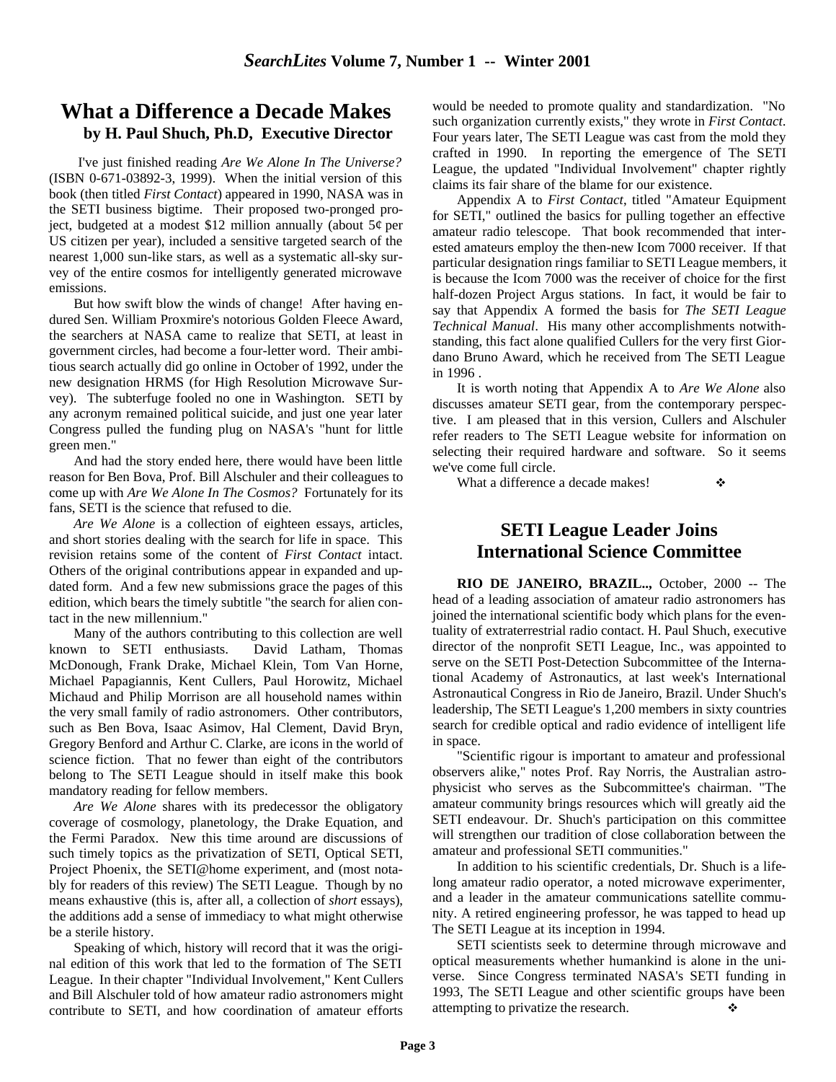### **What a Difference a Decade Makes by H. Paul Shuch, Ph.D, Executive Director**

 I've just finished reading *Are We Alone In The Universe?*  (ISBN 0-671-03892-3, 1999). When the initial version of this book (then titled *First Contact*) appeared in 1990, NASA was in the SETI business bigtime. Their proposed two-pronged project, budgeted at a modest \$12 million annually (about  $5¢$  per US citizen per year), included a sensitive targeted search of the nearest 1,000 sun-like stars, as well as a systematic all-sky survey of the entire cosmos for intelligently generated microwave emissions.

But how swift blow the winds of change! After having endured Sen. William Proxmire's notorious Golden Fleece Award, the searchers at NASA came to realize that SETI, at least in government circles, had become a four-letter word. Their ambitious search actually did go online in October of 1992, under the new designation HRMS (for High Resolution Microwave Survey). The subterfuge fooled no one in Washington. SETI by any acronym remained political suicide, and just one year later Congress pulled the funding plug on NASA's "hunt for little green men."

And had the story ended here, there would have been little reason for Ben Bova, Prof. Bill Alschuler and their colleagues to come up with *Are We Alone In The Cosmos?* Fortunately for its fans, SETI is the science that refused to die.

*Are We Alone* is a collection of eighteen essays, articles, and short stories dealing with the search for life in space. This revision retains some of the content of *First Contact* intact. Others of the original contributions appear in expanded and updated form. And a few new submissions grace the pages of this edition, which bears the timely subtitle "the search for alien contact in the new millennium."

Many of the authors contributing to this collection are well known to SETI enthusiasts. David Latham, Thomas McDonough, Frank Drake, Michael Klein, Tom Van Horne, Michael Papagiannis, Kent Cullers, Paul Horowitz, Michael Michaud and Philip Morrison are all household names within the very small family of radio astronomers. Other contributors, such as Ben Bova, Isaac Asimov, Hal Clement, David Bryn, Gregory Benford and Arthur C. Clarke, are icons in the world of science fiction. That no fewer than eight of the contributors belong to The SETI League should in itself make this book mandatory reading for fellow members.

*Are We Alone* shares with its predecessor the obligatory coverage of cosmology, planetology, the Drake Equation, and the Fermi Paradox. New this time around are discussions of such timely topics as the privatization of SETI, Optical SETI, Project Phoenix, the SETI@home experiment, and (most notably for readers of this review) The SETI League. Though by no means exhaustive (this is, after all, a collection of *short* essays), the additions add a sense of immediacy to what might otherwise be a sterile history.

Speaking of which, history will record that it was the original edition of this work that led to the formation of The SETI League. In their chapter "Individual Involvement," Kent Cullers and Bill Alschuler told of how amateur radio astronomers might contribute to SETI, and how coordination of amateur efforts

would be needed to promote quality and standardization. "No such organization currently exists," they wrote in *First Contact*. Four years later, The SETI League was cast from the mold they crafted in 1990. In reporting the emergence of The SETI League, the updated "Individual Involvement" chapter rightly claims its fair share of the blame for our existence.

Appendix A to *First Contact*, titled "Amateur Equipment for SETI," outlined the basics for pulling together an effective amateur radio telescope. That book recommended that interested amateurs employ the then-new Icom 7000 receiver. If that particular designation rings familiar to SETI League members, it is because the Icom 7000 was the receiver of choice for the first half-dozen Project Argus stations. In fact, it would be fair to say that Appendix A formed the basis for *The SETI League Technical Manual*. His many other accomplishments notwithstanding, this fact alone qualified Cullers for the very first Giordano Bruno Award, which he received from The SETI League in 1996 .

It is worth noting that Appendix A to *Are We Alone* also discusses amateur SETI gear, from the contemporary perspective. I am pleased that in this version, Cullers and Alschuler refer readers to The SETI League website for information on selecting their required hardware and software. So it seems we've come full circle.

What a difference a decade makes!  $\cdot$ 

# **SETI League Leader Joins**

# **International Science Committee**

**RIO DE JANEIRO, BRAZIL..,** October, 2000 -- The head of a leading association of amateur radio astronomers has joined the international scientific body which plans for the eventuality of extraterrestrial radio contact. H. Paul Shuch, executive director of the nonprofit SETI League, Inc., was appointed to serve on the SETI Post-Detection Subcommittee of the International Academy of Astronautics, at last week's International Astronautical Congress in Rio de Janeiro, Brazil. Under Shuch's leadership, The SETI League's 1,200 members in sixty countries search for credible optical and radio evidence of intelligent life in space.

"Scientific rigour is important to amateur and professional observers alike," notes Prof. Ray Norris, the Australian astrophysicist who serves as the Subcommittee's chairman. "The amateur community brings resources which will greatly aid the SETI endeavour. Dr. Shuch's participation on this committee will strengthen our tradition of close collaboration between the amateur and professional SETI communities."

In addition to his scientific credentials, Dr. Shuch is a lifelong amateur radio operator, a noted microwave experimenter, and a leader in the amateur communications satellite community. A retired engineering professor, he was tapped to head up The SETI League at its inception in 1994.

SETI scientists seek to determine through microwave and optical measurements whether humankind is alone in the universe. Since Congress terminated NASA's SETI funding in 1993, The SETI League and other scientific groups have been attempting to privatize the research.  $\bullet$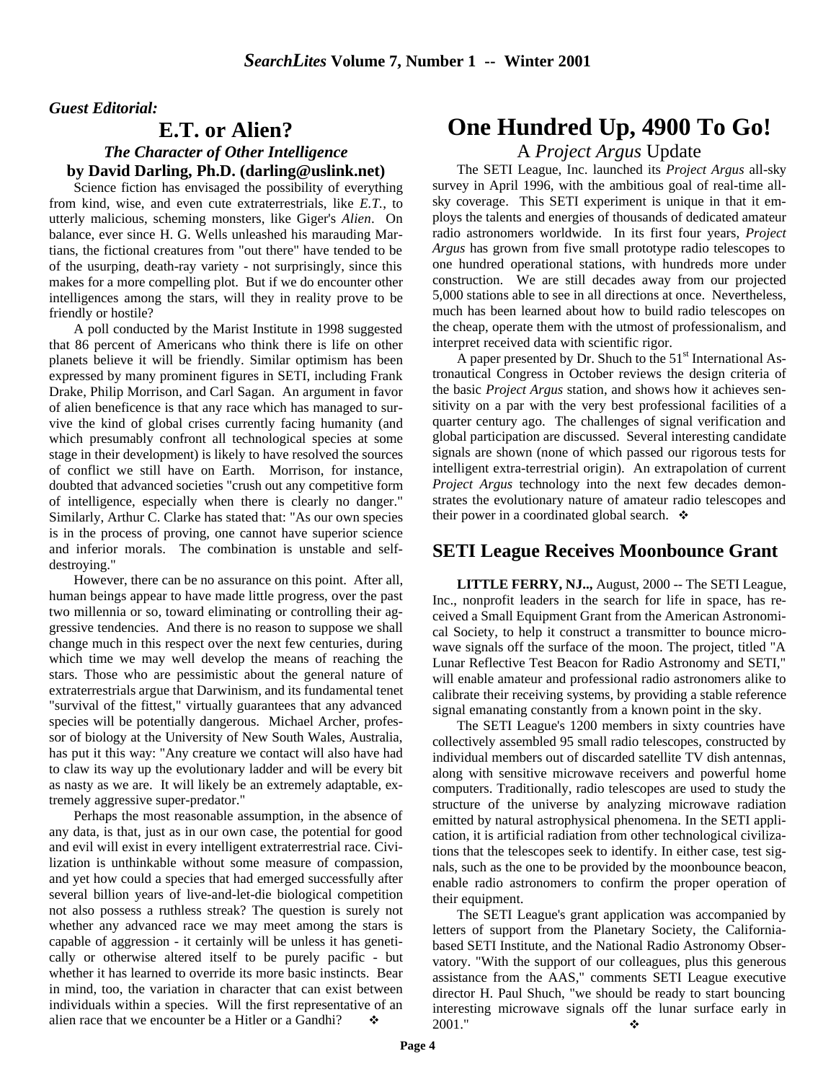#### *Guest Editorial:*

### **E.T. or Alien?** *The Character of Other Intelligence* **by David Darling, Ph.D. (darling@uslink.net)**

Science fiction has envisaged the possibility of everything from kind, wise, and even cute extraterrestrials, like *E.T.*, to utterly malicious, scheming monsters, like Giger's *Alien*. On balance, ever since H. G. Wells unleashed his marauding Martians, the fictional creatures from "out there" have tended to be of the usurping, death-ray variety - not surprisingly, since this makes for a more compelling plot. But if we do encounter other intelligences among the stars, will they in reality prove to be friendly or hostile?

A poll conducted by the Marist Institute in 1998 suggested that 86 percent of Americans who think there is life on other planets believe it will be friendly. Similar optimism has been expressed by many prominent figures in SETI, including Frank Drake, Philip Morrison, and Carl Sagan. An argument in favor of alien beneficence is that any race which has managed to survive the kind of global crises currently facing humanity (and which presumably confront all technological species at some stage in their development) is likely to have resolved the sources of conflict we still have on Earth. Morrison, for instance, doubted that advanced societies "crush out any competitive form of intelligence, especially when there is clearly no danger." Similarly, Arthur C. Clarke has stated that: "As our own species is in the process of proving, one cannot have superior science and inferior morals. The combination is unstable and selfdestroying."

However, there can be no assurance on this point. After all, human beings appear to have made little progress, over the past two millennia or so, toward eliminating or controlling their aggressive tendencies. And there is no reason to suppose we shall change much in this respect over the next few centuries, during which time we may well develop the means of reaching the stars. Those who are pessimistic about the general nature of extraterrestrials argue that Darwinism, and its fundamental tenet "survival of the fittest," virtually guarantees that any advanced species will be potentially dangerous. Michael Archer, professor of biology at the University of New South Wales, Australia, has put it this way: "Any creature we contact will also have had to claw its way up the evolutionary ladder and will be every bit as nasty as we are. It will likely be an extremely adaptable, extremely aggressive super-predator."

Perhaps the most reasonable assumption, in the absence of any data, is that, just as in our own case, the potential for good and evil will exist in every intelligent extraterrestrial race. Civilization is unthinkable without some measure of compassion, and yet how could a species that had emerged successfully after several billion years of live-and-let-die biological competition not also possess a ruthless streak? The question is surely not whether any advanced race we may meet among the stars is capable of aggression - it certainly will be unless it has genetically or otherwise altered itself to be purely pacific - but whether it has learned to override its more basic instincts. Bear in mind, too, the variation in character that can exist between individuals within a species. Will the first representative of an alien race that we encounter be a Hitler or a Gandhi?

# **One Hundred Up, 4900 To Go!**

#### A *Project Argus* Update

The SETI League, Inc. launched its *Project Argus* all-sky survey in April 1996, with the ambitious goal of real-time allsky coverage. This SETI experiment is unique in that it employs the talents and energies of thousands of dedicated amateur radio astronomers worldwide. In its first four years, *Project Argus* has grown from five small prototype radio telescopes to one hundred operational stations, with hundreds more under construction. We are still decades away from our projected 5,000 stations able to see in all directions at once. Nevertheless, much has been learned about how to build radio telescopes on the cheap, operate them with the utmost of professionalism, and interpret received data with scientific rigor.

A paper presented by Dr. Shuch to the  $51<sup>st</sup>$  International Astronautical Congress in October reviews the design criteria of the basic *Project Argus* station, and shows how it achieves sensitivity on a par with the very best professional facilities of a quarter century ago. The challenges of signal verification and global participation are discussed. Several interesting candidate signals are shown (none of which passed our rigorous tests for intelligent extra-terrestrial origin). An extrapolation of current *Project Argus* technology into the next few decades demonstrates the evolutionary nature of amateur radio telescopes and their power in a coordinated global search.  $\bullet$ 

#### **SETI League Receives Moonbounce Grant**

**LITTLE FERRY, NJ..,** August, 2000 -- The SETI League, Inc., nonprofit leaders in the search for life in space, has received a Small Equipment Grant from the American Astronomical Society, to help it construct a transmitter to bounce microwave signals off the surface of the moon. The project, titled "A Lunar Reflective Test Beacon for Radio Astronomy and SETI," will enable amateur and professional radio astronomers alike to calibrate their receiving systems, by providing a stable reference signal emanating constantly from a known point in the sky.

The SETI League's 1200 members in sixty countries have collectively assembled 95 small radio telescopes, constructed by individual members out of discarded satellite TV dish antennas, along with sensitive microwave receivers and powerful home computers. Traditionally, radio telescopes are used to study the structure of the universe by analyzing microwave radiation emitted by natural astrophysical phenomena. In the SETI application, it is artificial radiation from other technological civilizations that the telescopes seek to identify. In either case, test signals, such as the one to be provided by the moonbounce beacon, enable radio astronomers to confirm the proper operation of their equipment.

The SETI League's grant application was accompanied by letters of support from the Planetary Society, the Californiabased SETI Institute, and the National Radio Astronomy Observatory. "With the support of our colleagues, plus this generous assistance from the AAS," comments SETI League executive director H. Paul Shuch, "we should be ready to start bouncing interesting microwave signals off the lunar surface early in  $2001$ ."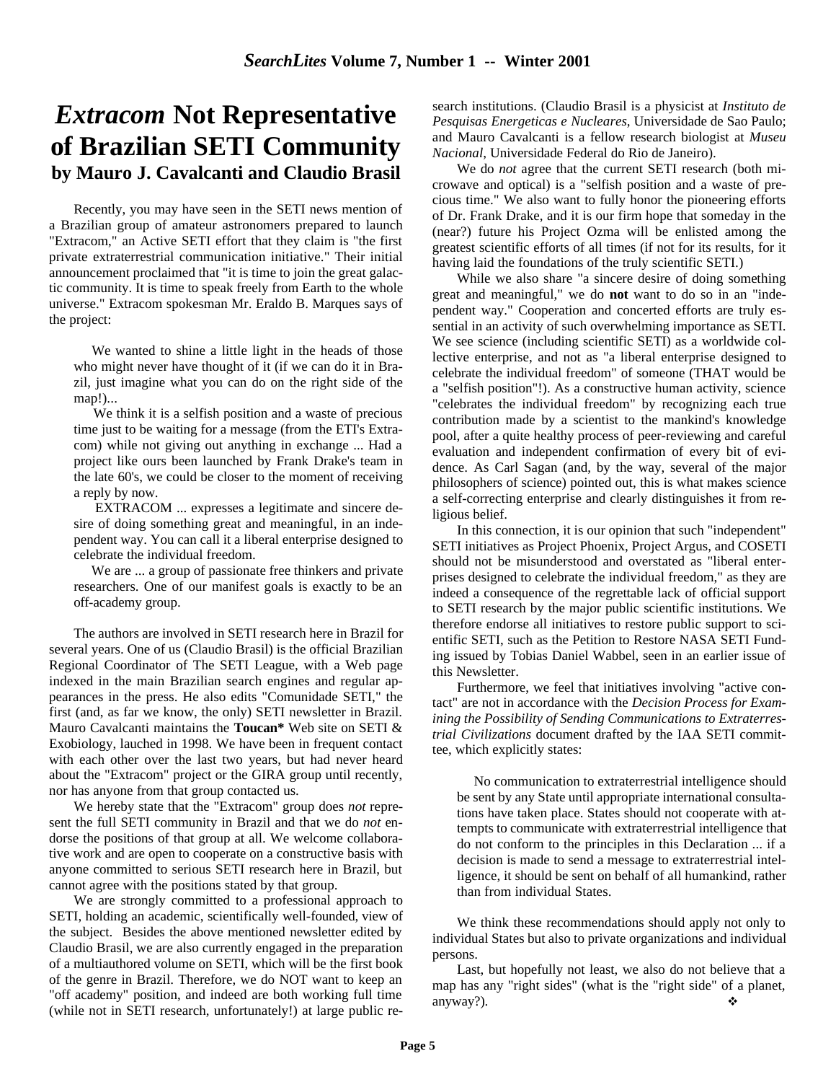# *Extracom* **Not Representative of Brazilian SETI Community by Mauro J. Cavalcanti and Claudio Brasil**

Recently, you may have seen in the SETI news mention of a Brazilian group of amateur astronomers prepared to launch "Extracom," an Active SETI effort that they claim is "the first private extraterrestrial communication initiative." Their initial announcement proclaimed that "it is time to join the great galactic community. It is time to speak freely from Earth to the whole universe." Extracom spokesman Mr. Eraldo B. Marques says of the project:

 We wanted to shine a little light in the heads of those who might never have thought of it (if we can do it in Brazil, just imagine what you can do on the right side of the map!)...

 We think it is a selfish position and a waste of precious time just to be waiting for a message (from the ETI's Extracom) while not giving out anything in exchange ... Had a project like ours been launched by Frank Drake's team in the late 60's, we could be closer to the moment of receiving a reply by now.

 EXTRACOM ... expresses a legitimate and sincere desire of doing something great and meaningful, in an independent way. You can call it a liberal enterprise designed to celebrate the individual freedom.

 We are ... a group of passionate free thinkers and private researchers. One of our manifest goals is exactly to be an off-academy group.

The authors are involved in SETI research here in Brazil for several years. One of us (Claudio Brasil) is the official Brazilian Regional Coordinator of The SETI League, with a Web page indexed in the main Brazilian search engines and regular appearances in the press. He also edits "Comunidade SETI," the first (and, as far we know, the only) SETI newsletter in Brazil. Mauro Cavalcanti maintains the **Toucan\*** Web site on SETI & Exobiology, lauched in 1998. We have been in frequent contact with each other over the last two years, but had never heard about the "Extracom" project or the GIRA group until recently, nor has anyone from that group contacted us.

We hereby state that the "Extracom" group does *not* represent the full SETI community in Brazil and that we do *not* endorse the positions of that group at all. We welcome collaborative work and are open to cooperate on a constructive basis with anyone committed to serious SETI research here in Brazil, but cannot agree with the positions stated by that group.

We are strongly committed to a professional approach to SETI, holding an academic, scientifically well-founded, view of the subject. Besides the above mentioned newsletter edited by Claudio Brasil, we are also currently engaged in the preparation of a multiauthored volume on SETI, which will be the first book of the genre in Brazil. Therefore, we do NOT want to keep an "off academy" position, and indeed are both working full time (while not in SETI research, unfortunately!) at large public re-

search institutions. (Claudio Brasil is a physicist at *Instituto de Pesquisas Energeticas e Nucleares*, Universidade de Sao Paulo; and Mauro Cavalcanti is a fellow research biologist at *Museu Nacional*, Universidade Federal do Rio de Janeiro).

We do *not* agree that the current SETI research (both microwave and optical) is a "selfish position and a waste of precious time." We also want to fully honor the pioneering efforts of Dr. Frank Drake, and it is our firm hope that someday in the (near?) future his Project Ozma will be enlisted among the greatest scientific efforts of all times (if not for its results, for it having laid the foundations of the truly scientific SETI.)

While we also share "a sincere desire of doing something great and meaningful," we do **not** want to do so in an "independent way." Cooperation and concerted efforts are truly essential in an activity of such overwhelming importance as SETI. We see science (including scientific SETI) as a worldwide collective enterprise, and not as "a liberal enterprise designed to celebrate the individual freedom" of someone (THAT would be a "selfish position"!). As a constructive human activity, science "celebrates the individual freedom" by recognizing each true contribution made by a scientist to the mankind's knowledge pool, after a quite healthy process of peer-reviewing and careful evaluation and independent confirmation of every bit of evidence. As Carl Sagan (and, by the way, several of the major philosophers of science) pointed out, this is what makes science a self-correcting enterprise and clearly distinguishes it from religious belief.

In this connection, it is our opinion that such "independent" SETI initiatives as Project Phoenix, Project Argus, and COSETI should not be misunderstood and overstated as "liberal enterprises designed to celebrate the individual freedom," as they are indeed a consequence of the regrettable lack of official support to SETI research by the major public scientific institutions. We therefore endorse all initiatives to restore public support to scientific SETI, such as the Petition to Restore NASA SETI Funding issued by Tobias Daniel Wabbel, seen in an earlier issue of this Newsletter.

Furthermore, we feel that initiatives involving "active contact" are not in accordance with the *Decision Process for Examining the Possibility of Sending Communications to Extraterrestrial Civilizations* document drafted by the IAA SETI committee, which explicitly states:

 No communication to extraterrestrial intelligence should be sent by any State until appropriate international consultations have taken place. States should not cooperate with attempts to communicate with extraterrestrial intelligence that do not conform to the principles in this Declaration ... if a decision is made to send a message to extraterrestrial intelligence, it should be sent on behalf of all humankind, rather than from individual States.

We think these recommendations should apply not only to individual States but also to private organizations and individual persons.

Last, but hopefully not least, we also do not believe that a map has any "right sides" (what is the "right side" of a planet, anyway?).  $\blacklozenge$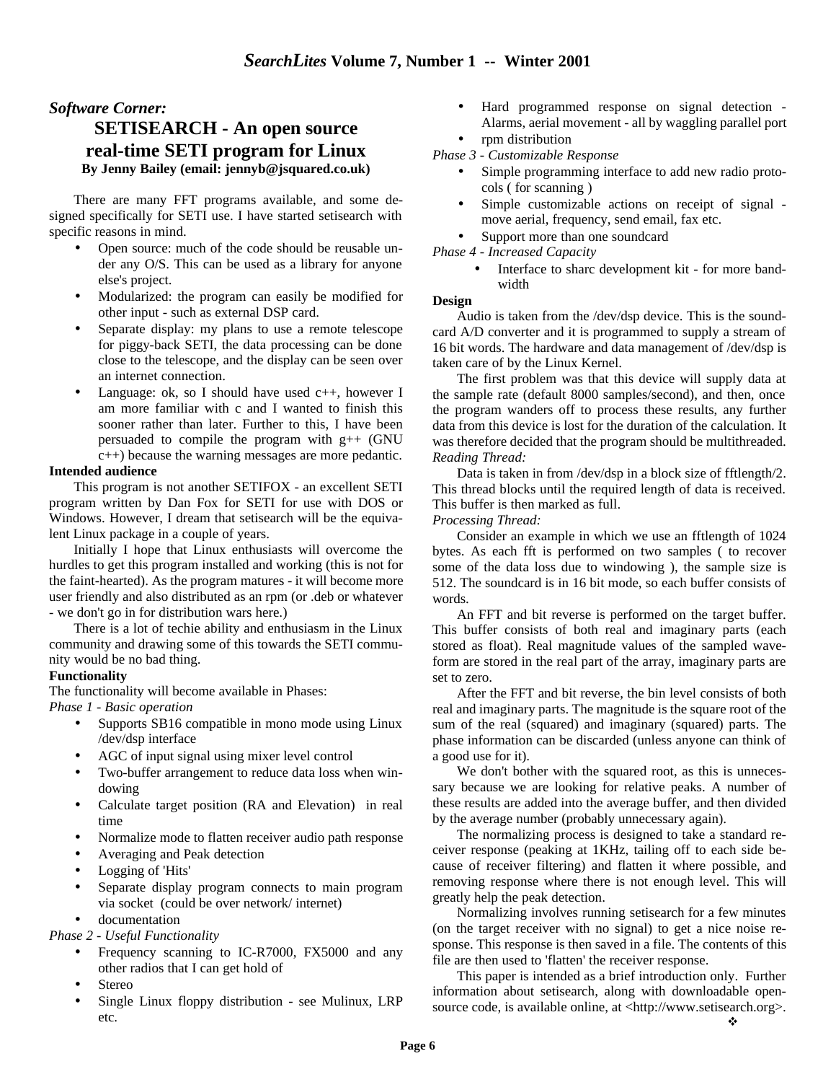### *Software Corner:* **SETISEARCH - An open source real-time SETI program for Linux**

#### **By Jenny Bailey (email: jennyb@jsquared.co.uk)**

There are many FFT programs available, and some designed specifically for SETI use. I have started setisearch with specific reasons in mind.

- Open source: much of the code should be reusable under any O/S. This can be used as a library for anyone else's project.
- Modularized: the program can easily be modified for other input - such as external DSP card.
- Separate display: my plans to use a remote telescope for piggy-back SETI, the data processing can be done close to the telescope, and the display can be seen over an internet connection.
- Language: ok, so I should have used  $c++$ , however I am more familiar with c and I wanted to finish this sooner rather than later. Further to this, I have been persuaded to compile the program with  $g++$  (GNU c++) because the warning messages are more pedantic.

#### **Intended audience**

This program is not another SETIFOX - an excellent SETI program written by Dan Fox for SETI for use with DOS or Windows. However, I dream that setisearch will be the equivalent Linux package in a couple of years.

Initially I hope that Linux enthusiasts will overcome the hurdles to get this program installed and working (this is not for the faint-hearted). As the program matures - it will become more user friendly and also distributed as an rpm (or .deb or whatever - we don't go in for distribution wars here.)

There is a lot of techie ability and enthusiasm in the Linux community and drawing some of this towards the SETI community would be no bad thing.

#### **Functionality**

The functionality will become available in Phases:

*Phase 1 - Basic operation*

- Supports SB16 compatible in mono mode using Linux /dev/dsp interface
- AGC of input signal using mixer level control
- Two-buffer arrangement to reduce data loss when windowing
- Calculate target position (RA and Elevation) in real time
- Normalize mode to flatten receiver audio path response
- Averaging and Peak detection
- Logging of 'Hits'
- Separate display program connects to main program via socket (could be over network/ internet)
- documentation

*Phase 2 - Useful Functionality*

- Frequency scanning to IC-R7000, FX5000 and any other radios that I can get hold of
- **Stereo**
- Single Linux floppy distribution see Mulinux, LRP etc.
- Hard programmed response on signal detection Alarms, aerial movement - all by waggling parallel port • rpm distribution
- *Phase 3 Customizable Response*
	- Simple programming interface to add new radio protocols ( for scanning )
	- Simple customizable actions on receipt of signal move aerial, frequency, send email, fax etc.
	- Support more than one soundcard

*Phase 4 - Increased Capacity*

Interface to sharc development kit - for more bandwidth

#### **Design**

Audio is taken from the /dev/dsp device. This is the soundcard A/D converter and it is programmed to supply a stream of 16 bit words. The hardware and data management of /dev/dsp is taken care of by the Linux Kernel.

The first problem was that this device will supply data at the sample rate (default 8000 samples/second), and then, once the program wanders off to process these results, any further data from this device is lost for the duration of the calculation. It was therefore decided that the program should be multithreaded. *Reading Thread:*

Data is taken in from /dev/dsp in a block size of fftlength/2. This thread blocks until the required length of data is received. This buffer is then marked as full.

*Processing Thread:*

Consider an example in which we use an fftlength of 1024 bytes. As each fft is performed on two samples ( to recover some of the data loss due to windowing ), the sample size is 512. The soundcard is in 16 bit mode, so each buffer consists of words.

An FFT and bit reverse is performed on the target buffer. This buffer consists of both real and imaginary parts (each stored as float). Real magnitude values of the sampled waveform are stored in the real part of the array, imaginary parts are set to zero.

After the FFT and bit reverse, the bin level consists of both real and imaginary parts. The magnitude is the square root of the sum of the real (squared) and imaginary (squared) parts. The phase information can be discarded (unless anyone can think of a good use for it).

We don't bother with the squared root, as this is unnecessary because we are looking for relative peaks. A number of these results are added into the average buffer, and then divided by the average number (probably unnecessary again).

The normalizing process is designed to take a standard receiver response (peaking at 1KHz, tailing off to each side because of receiver filtering) and flatten it where possible, and removing response where there is not enough level. This will greatly help the peak detection.

Normalizing involves running setisearch for a few minutes (on the target receiver with no signal) to get a nice noise response. This response is then saved in a file. The contents of this file are then used to 'flatten' the receiver response.

This paper is intended as a brief introduction only. Further information about setisearch, along with downloadable opensource code, is available online, at <http://www.setisearch.org>.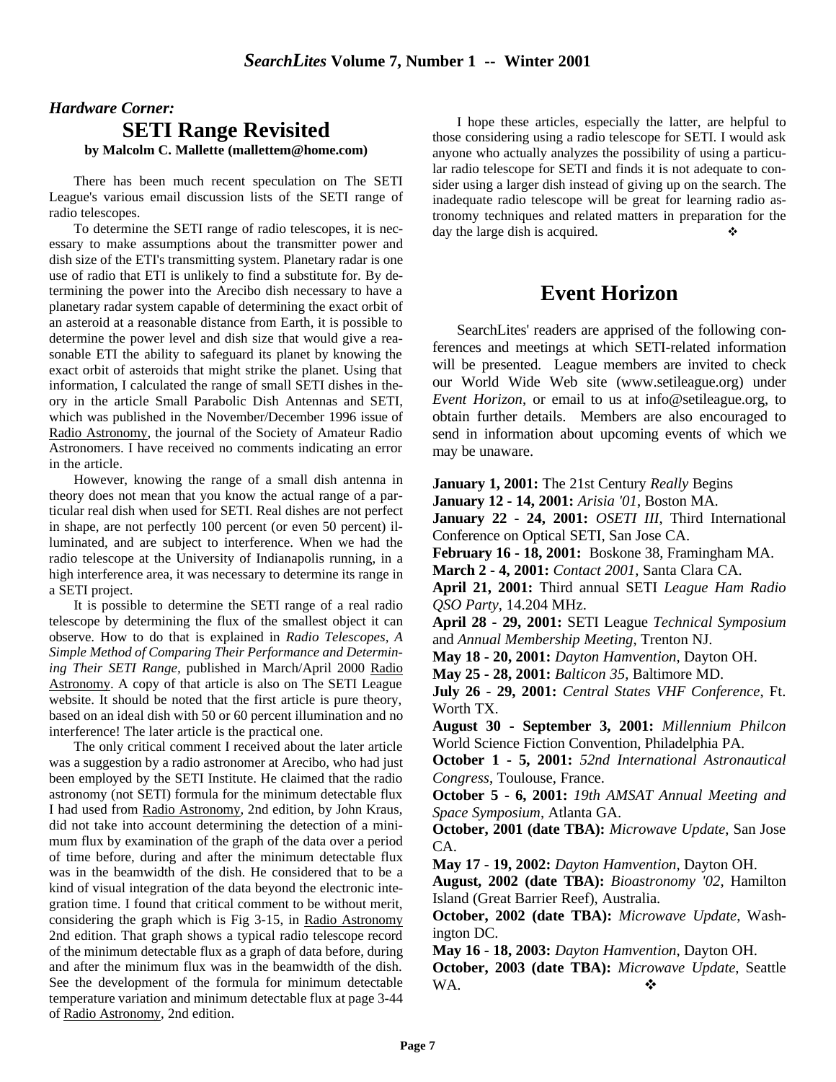# *Hardware Corner:* **SETI Range Revisited**

**by Malcolm C. Mallette (mallettem@home.com)**

There has been much recent speculation on The SETI League's various email discussion lists of the SETI range of radio telescopes.

To determine the SETI range of radio telescopes, it is necessary to make assumptions about the transmitter power and dish size of the ETI's transmitting system. Planetary radar is one use of radio that ETI is unlikely to find a substitute for. By determining the power into the Arecibo dish necessary to have a planetary radar system capable of determining the exact orbit of an asteroid at a reasonable distance from Earth, it is possible to determine the power level and dish size that would give a reasonable ETI the ability to safeguard its planet by knowing the exact orbit of asteroids that might strike the planet. Using that information, I calculated the range of small SETI dishes in theory in the article Small Parabolic Dish Antennas and SETI, which was published in the November/December 1996 issue of Radio Astronomy, the journal of the Society of Amateur Radio Astronomers. I have received no comments indicating an error in the article.

However, knowing the range of a small dish antenna in theory does not mean that you know the actual range of a particular real dish when used for SETI. Real dishes are not perfect in shape, are not perfectly 100 percent (or even 50 percent) illuminated, and are subject to interference. When we had the radio telescope at the University of Indianapolis running, in a high interference area, it was necessary to determine its range in a SETI project.

It is possible to determine the SETI range of a real radio telescope by determining the flux of the smallest object it can observe. How to do that is explained in *Radio Telescopes, A Simple Method of Comparing Their Performance and Determining Their SETI Range,* published in March/April 2000 Radio Astronomy. A copy of that article is also on The SETI League website. It should be noted that the first article is pure theory, based on an ideal dish with 50 or 60 percent illumination and no interference! The later article is the practical one.

The only critical comment I received about the later article was a suggestion by a radio astronomer at Arecibo, who had just been employed by the SETI Institute. He claimed that the radio astronomy (not SETI) formula for the minimum detectable flux I had used from Radio Astronomy, 2nd edition, by John Kraus, did not take into account determining the detection of a minimum flux by examination of the graph of the data over a period of time before, during and after the minimum detectable flux was in the beamwidth of the dish. He considered that to be a kind of visual integration of the data beyond the electronic integration time. I found that critical comment to be without merit, considering the graph which is Fig 3-15, in Radio Astronomy 2nd edition. That graph shows a typical radio telescope record of the minimum detectable flux as a graph of data before, during and after the minimum flux was in the beamwidth of the dish. See the development of the formula for minimum detectable temperature variation and minimum detectable flux at page 3-44 of Radio Astronomy, 2nd edition.

I hope these articles, especially the latter, are helpful to those considering using a radio telescope for SETI. I would ask anyone who actually analyzes the possibility of using a particular radio telescope for SETI and finds it is not adequate to consider using a larger dish instead of giving up on the search. The inadequate radio telescope will be great for learning radio astronomy techniques and related matters in preparation for the day the large dish is acquired.

## **Event Horizon**

SearchLites' readers are apprised of the following conferences and meetings at which SETI-related information will be presented. League members are invited to check our World Wide Web site (www.setileague.org) under *Event Horizon*, or email to us at info@setileague.org, to obtain further details. Members are also encouraged to send in information about upcoming events of which we may be unaware.

**January 1, 2001:** The 21st Century *Really* Begins

**January 12 - 14, 2001:** *Arisia '01*, Boston MA.

**January 22 - 24, 2001:** *OSETI III*, Third International Conference on Optical SETI, San Jose CA.

**February 16 - 18, 2001:** Boskone 38, Framingham MA.

**March 2 - 4, 2001:** *Contact 2001*, Santa Clara CA.

**April 21, 2001:** Third annual SETI *League Ham Radio QSO Party*, 14.204 MHz.

**April 28 - 29, 2001:** SETI League *Technical Symposium* and *Annual Membership Meeting*, Trenton NJ.

**May 18 - 20, 2001:** *Dayton Hamvention*, Dayton OH.

**May 25 - 28, 2001:** *Balticon 35*, Baltimore MD.

**July 26 - 29, 2001:** *Central States VHF Conference*, Ft. Worth TX.

**August 30 - September 3, 2001:** *Millennium Philcon* World Science Fiction Convention, Philadelphia PA.

**October 1 - 5, 2001:** *52nd International Astronautical Congress*, Toulouse, France.

**October 5 - 6, 2001:** *19th AMSAT Annual Meeting and Space Symposium*, Atlanta GA.

**October, 2001 (date TBA):** *Microwave Update*, San Jose CA.

**May 17 - 19, 2002:** *Dayton Hamvention*, Dayton OH.

**August, 2002 (date TBA):** *Bioastronomy '02*, Hamilton Island (Great Barrier Reef), Australia.

**October, 2002 (date TBA):** *Microwave Update*, Washington DC.

**May 16 - 18, 2003:** *Dayton Hamvention*, Dayton OH.

**October, 2003 (date TBA):** *Microwave Update*, Seattle WA.